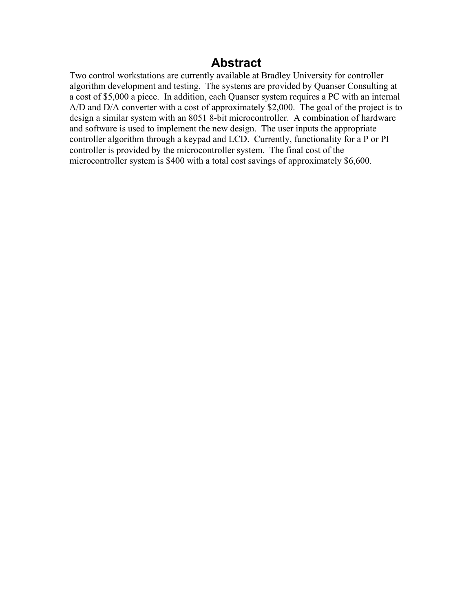# **Abstract**

Two control workstations are currently available at Bradley University for controller algorithm development and testing. The systems are provided by Quanser Consulting at a cost of \$5,000 a piece. In addition, each Quanser system requires a PC with an internal A/D and D/A converter with a cost of approximately \$2,000. The goal of the project is to design a similar system with an 8051 8-bit microcontroller. A combination of hardware and software is used to implement the new design. The user inputs the appropriate controller algorithm through a keypad and LCD. Currently, functionality for a P or PI controller is provided by the microcontroller system. The final cost of the microcontroller system is \$400 with a total cost savings of approximately \$6,600.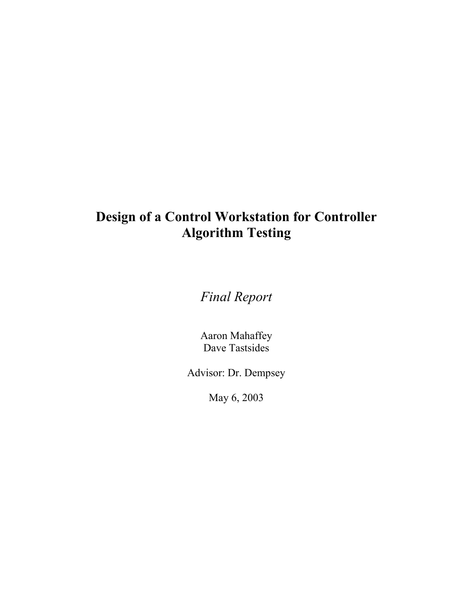# **Design of a Control Workstation for Controller Algorithm Testing**

*Final Report* 

Aaron Mahaffey Dave Tastsides

Advisor: Dr. Dempsey

May 6, 2003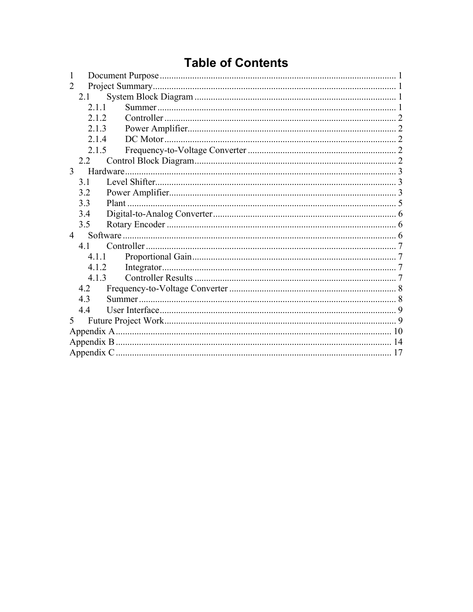# **Table of Contents**

| 1              |  |  |
|----------------|--|--|
| 2              |  |  |
| 2.1            |  |  |
| 2.11           |  |  |
| 212            |  |  |
| 2.1.3          |  |  |
| 2.14           |  |  |
| 2.1.5          |  |  |
| 2.2            |  |  |
| 3              |  |  |
| 3.1            |  |  |
| 3.2            |  |  |
| 3.3            |  |  |
| 3.4            |  |  |
| 3.5            |  |  |
| $\overline{4}$ |  |  |
| 41             |  |  |
| 4.1.1          |  |  |
| 4.1.2          |  |  |
| 4.1.3          |  |  |
| 4.2            |  |  |
| 4.3            |  |  |
| 44             |  |  |
| 5 <sup>5</sup> |  |  |
|                |  |  |
|                |  |  |
|                |  |  |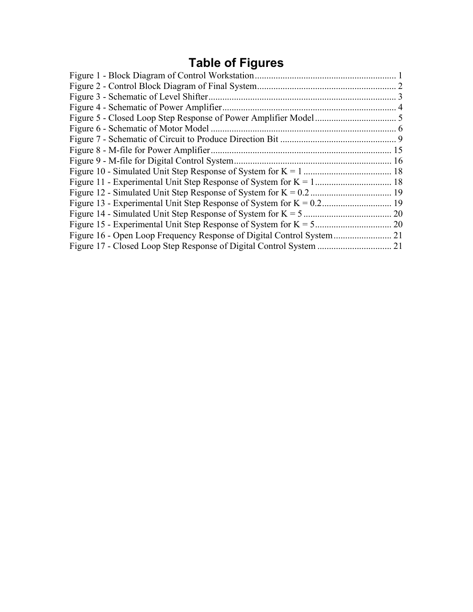# **Table of Figures**

| 21 |
|----|
| 21 |
|    |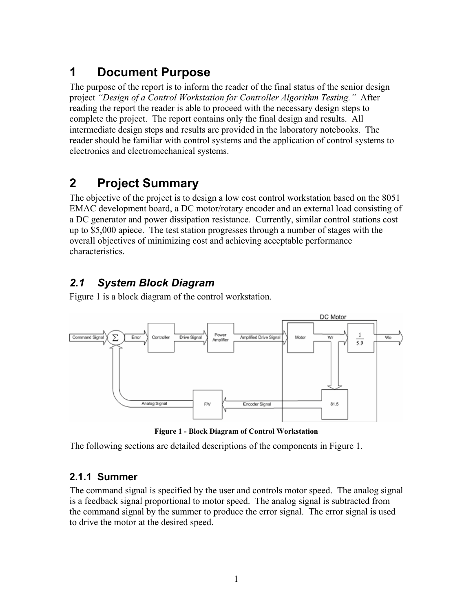# **1 Document Purpose**

The purpose of the report is to inform the reader of the final status of the senior design project *"Design of a Control Workstation for Controller Algorithm Testing."* After reading the report the reader is able to proceed with the necessary design steps to complete the project. The report contains only the final design and results. All intermediate design steps and results are provided in the laboratory notebooks. The reader should be familiar with control systems and the application of control systems to electronics and electromechanical systems.

# **2 Project Summary**

The objective of the project is to design a low cost control workstation based on the 8051 EMAC development board, a DC motor/rotary encoder and an external load consisting of a DC generator and power dissipation resistance. Currently, similar control stations cost up to \$5,000 apiece. The test station progresses through a number of stages with the overall objectives of minimizing cost and achieving acceptable performance characteristics.

# *2.1 System Block Diagram*

Figure 1 is a block diagram of the control workstation.



**Figure 1 - Block Diagram of Control Workstation** 

The following sections are detailed descriptions of the components in Figure 1.

# **2.1.1 Summer**

The command signal is specified by the user and controls motor speed. The analog signal is a feedback signal proportional to motor speed. The analog signal is subtracted from the command signal by the summer to produce the error signal. The error signal is used to drive the motor at the desired speed.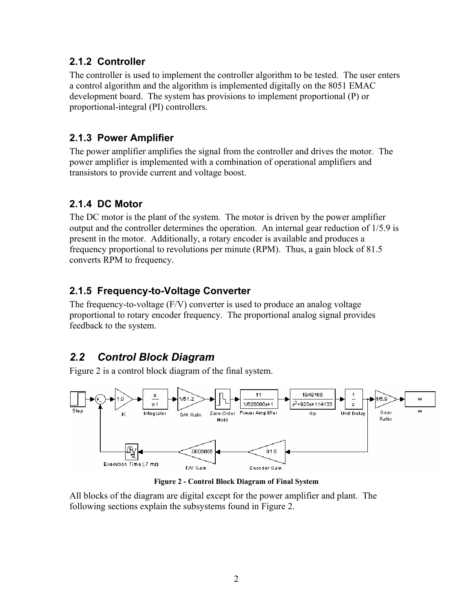## **2.1.2 Controller**

The controller is used to implement the controller algorithm to be tested. The user enters a control algorithm and the algorithm is implemented digitally on the 8051 EMAC development board. The system has provisions to implement proportional (P) or proportional-integral (PI) controllers.

## **2.1.3 Power Amplifier**

The power amplifier amplifies the signal from the controller and drives the motor. The power amplifier is implemented with a combination of operational amplifiers and transistors to provide current and voltage boost.

# **2.1.4 DC Motor**

The DC motor is the plant of the system. The motor is driven by the power amplifier output and the controller determines the operation. An internal gear reduction of 1/5.9 is present in the motor. Additionally, a rotary encoder is available and produces a frequency proportional to revolutions per minute (RPM). Thus, a gain block of 81.5 converts RPM to frequency.

# **2.1.5 Frequency-to-Voltage Converter**

The frequency-to-voltage (F/V) converter is used to produce an analog voltage proportional to rotary encoder frequency. The proportional analog signal provides feedback to the system.

# *2.2 Control Block Diagram*

Figure 2 is a control block diagram of the final system.



**Figure 2 - Control Block Diagram of Final System** 

All blocks of the diagram are digital except for the power amplifier and plant. The following sections explain the subsystems found in Figure 2.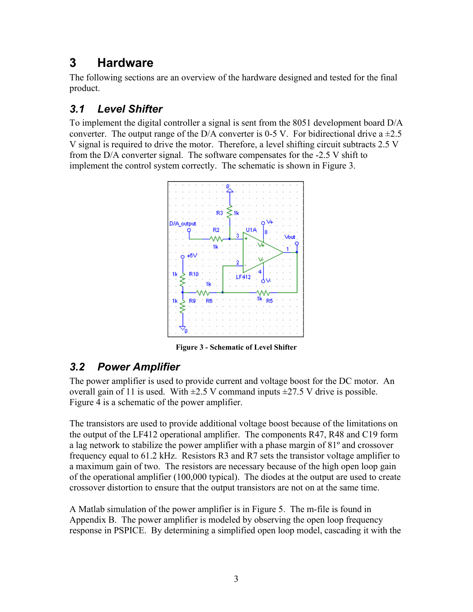# **3 Hardware**

The following sections are an overview of the hardware designed and tested for the final product.

# *3.1 Level Shifter*

To implement the digital controller a signal is sent from the 8051 development board D/A converter. The output range of the D/A converter is 0-5 V. For bidirectional drive  $a = 2.5$ V signal is required to drive the motor. Therefore, a level shifting circuit subtracts 2.5 V from the D/A converter signal. The software compensates for the -2.5 V shift to implement the control system correctly. The schematic is shown in Figure 3.



**Figure 3 - Schematic of Level Shifter** 

# *3.2 Power Amplifier*

The power amplifier is used to provide current and voltage boost for the DC motor. An overall gain of 11 is used. With  $\pm 2.5$  V command inputs  $\pm 27.5$  V drive is possible. Figure 4 is a schematic of the power amplifier.

The transistors are used to provide additional voltage boost because of the limitations on the output of the LF412 operational amplifier. The components R47, R48 and C19 form a lag network to stabilize the power amplifier with a phase margin of 81º and crossover frequency equal to 61.2 kHz. Resistors R3 and R7 sets the transistor voltage amplifier to a maximum gain of two. The resistors are necessary because of the high open loop gain of the operational amplifier (100,000 typical). The diodes at the output are used to create crossover distortion to ensure that the output transistors are not on at the same time.

A Matlab simulation of the power amplifier is in Figure 5. The m-file is found in Appendix B. The power amplifier is modeled by observing the open loop frequency response in PSPICE. By determining a simplified open loop model, cascading it with the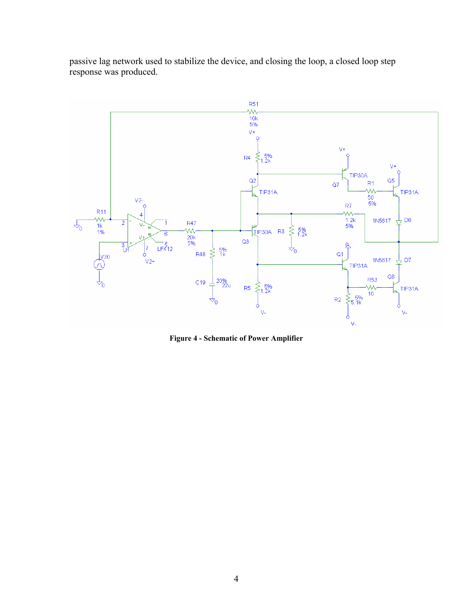

passive lag network used to stabilize the device, and closing the loop, a closed loop step response was produced.

**Figure 4 - Schematic of Power Amplifier**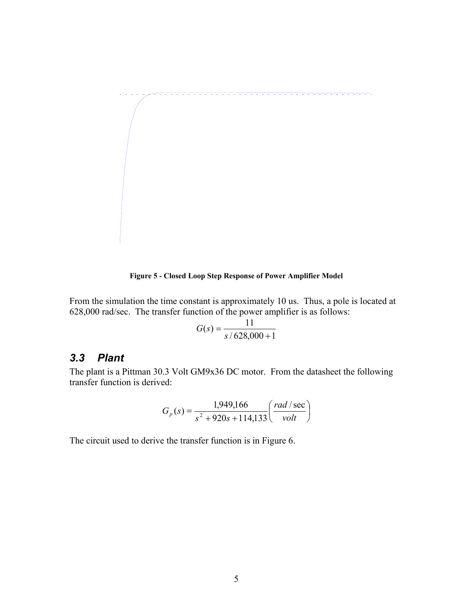

**Figure 5 - Closed Loop Step Response of Power Amplifier Model** 

From the simulation the time constant is approximately 10 us. Thus, a pole is located at 628,000 rad/sec. The transfer function of the power amplifier is as follows:

$$
G(s) = \frac{11}{s/628,000+1}
$$

## *3.3 Plant*

The plant is a Pittman 30.3 Volt GM9x36 DC motor. From the datasheet the following transfer function is derived:

$$
G_p(s) = \frac{1,949,166}{s^2 + 920s + 114,133} \left(\frac{rad/sec}{volt}\right)
$$

The circuit used to derive the transfer function is in Figure 6.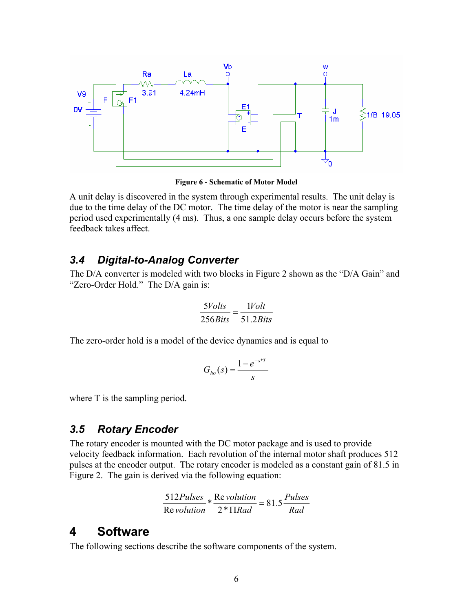

**Figure 6 - Schematic of Motor Model** 

A unit delay is discovered in the system through experimental results. The unit delay is due to the time delay of the DC motor. The time delay of the motor is near the sampling period used experimentally (4 ms). Thus, a one sample delay occurs before the system feedback takes affect.

## *3.4 Digital-to-Analog Converter*

The D/A converter is modeled with two blocks in Figure 2 shown as the "D/A Gain" and "Zero-Order Hold." The D/A gain is:

$$
\frac{5Volts}{256Bits} = \frac{1Volt}{51.2Bits}
$$

The zero-order hold is a model of the device dynamics and is equal to

$$
G_{ho}(s) = \frac{1 - e^{-s^*T}}{s}
$$

where T is the sampling period.

## *3.5 Rotary Encoder*

The rotary encoder is mounted with the DC motor package and is used to provide velocity feedback information. Each revolution of the internal motor shaft produces 512 pulses at the encoder output. The rotary encoder is modeled as a constant gain of 81.5 in Figure 2. The gain is derived via the following equation:

$$
\frac{512Pulses}{Revolution} * \frac{Revolution}{2* \Pi Rad} = 81.5 \frac{Pulses}{Rad}
$$

# **4 Software**

The following sections describe the software components of the system.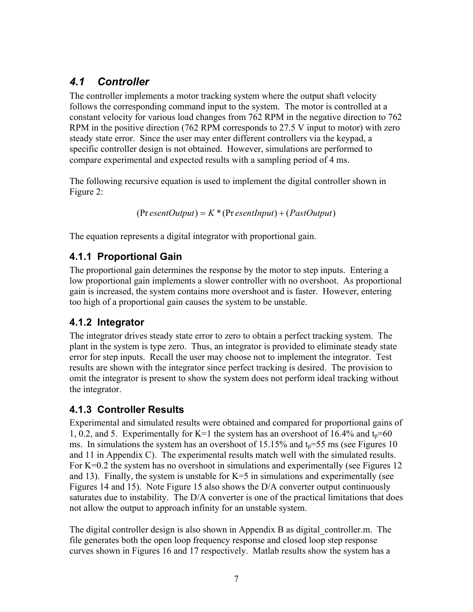# *4.1 Controller*

The controller implements a motor tracking system where the output shaft velocity follows the corresponding command input to the system. The motor is controlled at a constant velocity for various load changes from 762 RPM in the negative direction to 762 RPM in the positive direction (762 RPM corresponds to 27.5 V input to motor) with zero steady state error. Since the user may enter different controllers via the keypad, a specific controller design is not obtained. However, simulations are performed to compare experimental and expected results with a sampling period of 4 ms.

The following recursive equation is used to implement the digital controller shown in Figure 2:

```
(Pr esentOutput) = K^*(Pr esentInput) + (PastOutput)
```
The equation represents a digital integrator with proportional gain.

# **4.1.1 Proportional Gain**

The proportional gain determines the response by the motor to step inputs. Entering a low proportional gain implements a slower controller with no overshoot. As proportional gain is increased, the system contains more overshoot and is faster. However, entering too high of a proportional gain causes the system to be unstable.

# **4.1.2 Integrator**

The integrator drives steady state error to zero to obtain a perfect tracking system. The plant in the system is type zero. Thus, an integrator is provided to eliminate steady state error for step inputs. Recall the user may choose not to implement the integrator. Test results are shown with the integrator since perfect tracking is desired. The provision to omit the integrator is present to show the system does not perform ideal tracking without the integrator.

## **4.1.3 Controller Results**

Experimental and simulated results were obtained and compared for proportional gains of 1, 0.2, and 5. Experimentally for K=1 the system has an overshoot of 16.4% and  $t_p$ =60 ms. In simulations the system has an overshoot of 15.15% and  $t<sub>p</sub>=55$  ms (see Figures 10 and 11 in Appendix C). The experimental results match well with the simulated results. For  $K=0.2$  the system has no overshoot in simulations and experimentally (see Figures 12) and 13). Finally, the system is unstable for  $K=5$  in simulations and experimentally (see Figures 14 and 15). Note Figure 15 also shows the D/A converter output continuously saturates due to instability. The D/A converter is one of the practical limitations that does not allow the output to approach infinity for an unstable system.

The digital controller design is also shown in Appendix B as digital\_controller.m. The file generates both the open loop frequency response and closed loop step response curves shown in Figures 16 and 17 respectively. Matlab results show the system has a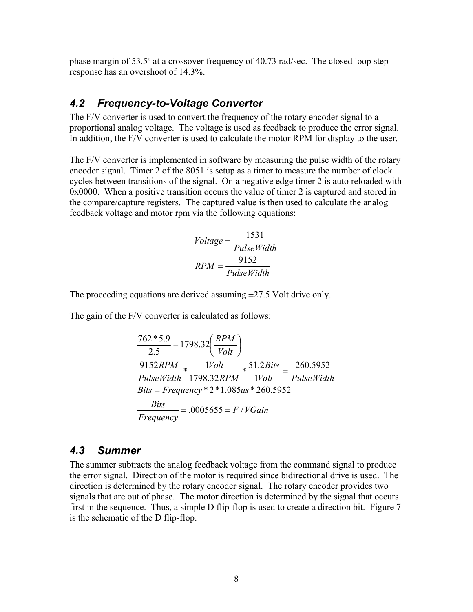phase margin of 53.5º at a crossover frequency of 40.73 rad/sec. The closed loop step response has an overshoot of 14.3%.

## *4.2 Frequency-to-Voltage Converter*

The F/V converter is used to convert the frequency of the rotary encoder signal to a proportional analog voltage. The voltage is used as feedback to produce the error signal. In addition, the F/V converter is used to calculate the motor RPM for display to the user.

The F/V converter is implemented in software by measuring the pulse width of the rotary encoder signal. Timer 2 of the 8051 is setup as a timer to measure the number of clock cycles between transitions of the signal. On a negative edge timer 2 is auto reloaded with 0x0000. When a positive transition occurs the value of timer 2 is captured and stored in the compare/capture registers. The captured value is then used to calculate the analog feedback voltage and motor rpm via the following equations:

$$
Voltage = \frac{1531}{PulseWidth}
$$

$$
RPM = \frac{9152}{PulseWidth}
$$

The proceeding equations are derived assuming  $\pm$ 27.5 Volt drive only.

The gain of the F/V converter is calculated as follows:

$$
\frac{762*5.9}{2.5} = 1798.32 \left(\frac{RPM}{Volt}\right)
$$
  

$$
\frac{9152RPM}{PulseWidth} * \frac{1Volt}{1798.32RPM} * \frac{51.2Bits}{1Volt} = \frac{260.5952}{PulseWidth}
$$
  
Bits = Frequency \* 2 \* 1.085us \* 260.5952  

$$
\frac{Bits}{Frequency} = .0005655 = F/VGain
$$

## *4.3 Summer*

The summer subtracts the analog feedback voltage from the command signal to produce the error signal. Direction of the motor is required since bidirectional drive is used. The direction is determined by the rotary encoder signal. The rotary encoder provides two signals that are out of phase. The motor direction is determined by the signal that occurs first in the sequence. Thus, a simple D flip-flop is used to create a direction bit. Figure 7 is the schematic of the D flip-flop.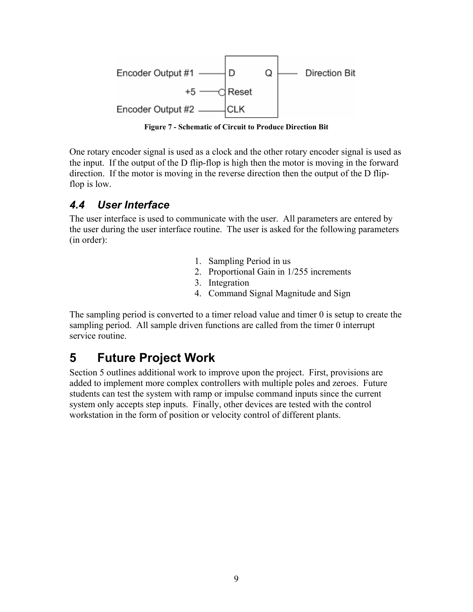

**Figure 7 - Schematic of Circuit to Produce Direction Bit** 

One rotary encoder signal is used as a clock and the other rotary encoder signal is used as the input. If the output of the D flip-flop is high then the motor is moving in the forward direction. If the motor is moving in the reverse direction then the output of the D flipflop is low.

# *4.4 User Interface*

The user interface is used to communicate with the user. All parameters are entered by the user during the user interface routine. The user is asked for the following parameters (in order):

- 1. Sampling Period in us
- 2. Proportional Gain in 1/255 increments
- 3. Integration
- 4. Command Signal Magnitude and Sign

The sampling period is converted to a timer reload value and timer 0 is setup to create the sampling period. All sample driven functions are called from the timer 0 interrupt service routine.

# **5 Future Project Work**

Section 5 outlines additional work to improve upon the project. First, provisions are added to implement more complex controllers with multiple poles and zeroes. Future students can test the system with ramp or impulse command inputs since the current system only accepts step inputs. Finally, other devices are tested with the control workstation in the form of position or velocity control of different plants.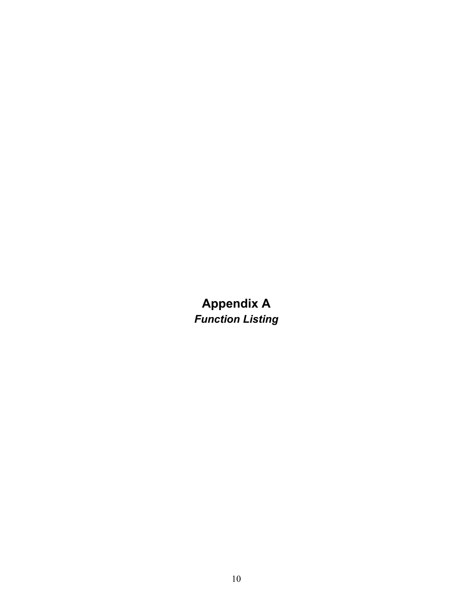**Appendix A**  *Function Listing*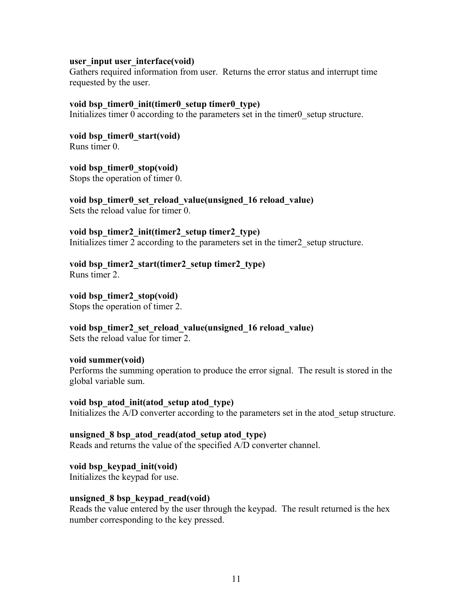### **user\_input user\_interface(void)**

Gathers required information from user. Returns the error status and interrupt time requested by the user.

#### **void bsp\_timer0\_init(timer0\_setup timer0\_type)**

Initializes timer 0 according to the parameters set in the timer0 setup structure.

**void bsp\_timer0\_start(void)**  Runs timer 0.

**void bsp\_timer0\_stop(void)** 

Stops the operation of timer 0.

**void bsp\_timer0\_set\_reload\_value(unsigned\_16 reload\_value)**  Sets the reload value for timer 0.

### **void bsp\_timer2\_init(timer2\_setup timer2\_type)**

Initializes timer 2 according to the parameters set in the timer 2 setup structure.

**void bsp\_timer2\_start(timer2\_setup timer2\_type)**  Runs timer 2.

**void bsp\_timer2\_stop(void)**  Stops the operation of timer 2.

**void bsp\_timer2\_set\_reload\_value(unsigned\_16 reload\_value)**  Sets the reload value for timer 2.

#### **void summer(void)**

Performs the summing operation to produce the error signal. The result is stored in the global variable sum.

## **void bsp\_atod\_init(atod\_setup atod\_type)**

Initializes the A/D converter according to the parameters set in the atod setup structure.

# **unsigned\_8 bsp\_atod\_read(atod\_setup atod\_type)**

Reads and returns the value of the specified A/D converter channel.

**void bsp\_keypad\_init(void)**  Initializes the keypad for use.

## **unsigned\_8 bsp\_keypad\_read(void)**

Reads the value entered by the user through the keypad. The result returned is the hex number corresponding to the key pressed.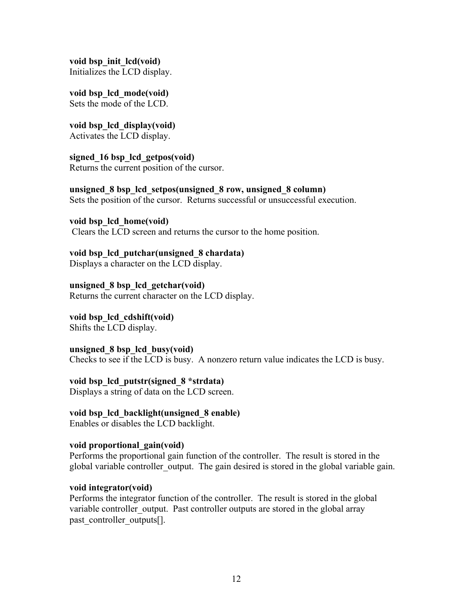**void bsp\_init\_lcd(void)**  Initializes the LCD display.

**void bsp\_lcd\_mode(void)**  Sets the mode of the LCD.

**void bsp\_lcd\_display(void)**  Activates the LCD display.

**signed\_16 bsp\_lcd\_getpos(void)**  Returns the current position of the cursor.

**unsigned\_8 bsp\_lcd\_setpos(unsigned\_8 row, unsigned\_8 column)**  Sets the position of the cursor. Returns successful or unsuccessful execution.

**void bsp\_lcd\_home(void)**  Clears the LCD screen and returns the cursor to the home position.

**void bsp\_lcd\_putchar(unsigned\_8 chardata)**  Displays a character on the LCD display.

**unsigned\_8 bsp\_lcd\_getchar(void)**  Returns the current character on the LCD display.

**void bsp\_lcd\_cdshift(void)**  Shifts the LCD display.

**unsigned\_8 bsp\_lcd\_busy(void)**  Checks to see if the LCD is busy. A nonzero return value indicates the LCD is busy.

**void bsp\_lcd\_putstr(signed\_8 \*strdata)** 

Displays a string of data on the LCD screen.

**void bsp\_lcd\_backlight(unsigned\_8 enable)**  Enables or disables the LCD backlight.

## **void proportional\_gain(void)**

Performs the proportional gain function of the controller. The result is stored in the global variable controller\_output. The gain desired is stored in the global variable gain.

## **void integrator(void)**

Performs the integrator function of the controller. The result is stored in the global variable controller output. Past controller outputs are stored in the global array past\_controller\_outputs[].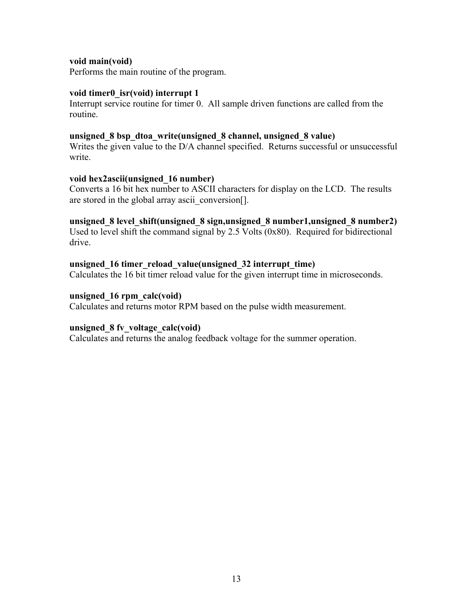## **void main(void)**

Performs the main routine of the program.

## **void timer0\_isr(void) interrupt 1**

Interrupt service routine for timer 0. All sample driven functions are called from the routine.

### **unsigned\_8 bsp\_dtoa\_write(unsigned\_8 channel, unsigned\_8 value)**

Writes the given value to the D/A channel specified. Returns successful or unsuccessful write.

## **void hex2ascii(unsigned\_16 number)**

Converts a 16 bit hex number to ASCII characters for display on the LCD. The results are stored in the global array ascii\_conversion...

## **unsigned\_8 level\_shift(unsigned\_8 sign,unsigned\_8 number1,unsigned\_8 number2)**

Used to level shift the command signal by 2.5 Volts (0x80). Required for bidirectional drive.

### **unsigned\_16 timer\_reload\_value(unsigned\_32 interrupt\_time)**

Calculates the 16 bit timer reload value for the given interrupt time in microseconds.

### **unsigned\_16 rpm\_calc(void)**

Calculates and returns motor RPM based on the pulse width measurement.

## **unsigned\_8 fv\_voltage\_calc(void)**

Calculates and returns the analog feedback voltage for the summer operation.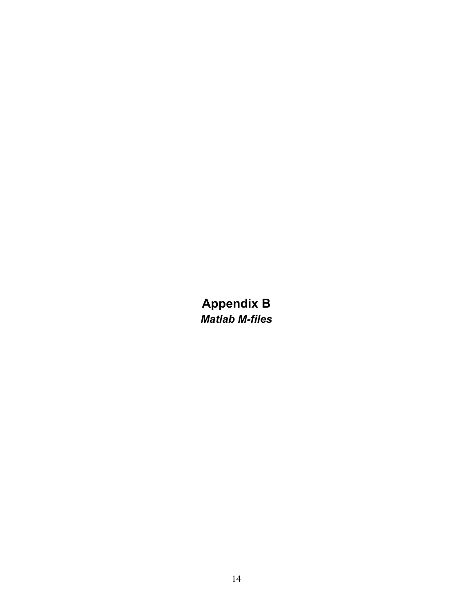**Appendix B**  *Matlab M-files*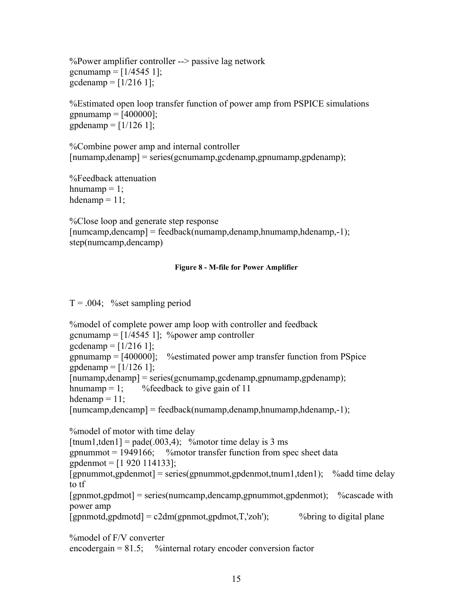%Power amplifier controller --> passive lag network gcnumamp =  $[1/4545 1]$ ; gcdenamp =  $[1/216 1]$ ;

%Estimated open loop transfer function of power amp from PSPICE simulations  $g$ pnumamp = [400000];  $g$ pdenamp = [1/126 1];

%Combine power amp and internal controller  $[\text{numamp}, \text{denamp}] = \text{series}(\text{genumamp}, \text{gcdenamp}, \text{gpunamp}, \text{gpdenamp})$ ;

%Feedback attenuation hnumamp  $= 1$ ; hdenamp  $= 11$ ;

%Close loop and generate step response  $[numcamp, dencamp] = feedback(numamp,denamp,hnumamp,hdenamp,1);$ step(numcamp,dencamp)

#### **Figure 8 - M-file for Power Amplifier**

 $T = 0.004$ ; %set sampling period

%model of complete power amp loop with controller and feedback gcnumamp =  $[1/4545 1]$ ; % power amp controller gcdenamp =  $[1/216 1]$ ; gpnumamp  $=$  [400000]; % estimated power amp transfer function from PSpice  $g$ pdenamp = [1/126 1]; [numamp,denamp] = series(gcnumamp,gcdenamp,gpnumamp,gpdenamp); hnumamp  $= 1$ ; %feedback to give gain of 11 hdenamp  $= 11$ ;  $[\text{numcamp},\text{dencamp}] = \text{feedback}(\text{numamp},\text{denamp},\text{hnumamp},\text{hdenamp},\text{Idenamp},-1);$ %model of motor with time delay  $[$ tnum1,tden1] = pade(.003,4); % motor time delay is 3 ms gpnummot  $= 1949166$ ; % motor transfer function from spec sheet data gpdenmot = [1 920 114133];  $[$ gpnummot,gpdenmot $]$  = series(gpnummot,gpdenmot,tnum1,tden1); % add time delay to tf [gpnmot,gpdmot] = series(numcamp,dencamp,gpnummot,gpdenmot); %cascade with power amp  $[gpmmotd, gpdmotd] = c2dm(gpmmot, gpdmot, T, zoh')$ ; %bring to digital plane

%model of F/V converter

 $\text{encoder gain} = 81.5;$  %internal rotary encoder conversion factor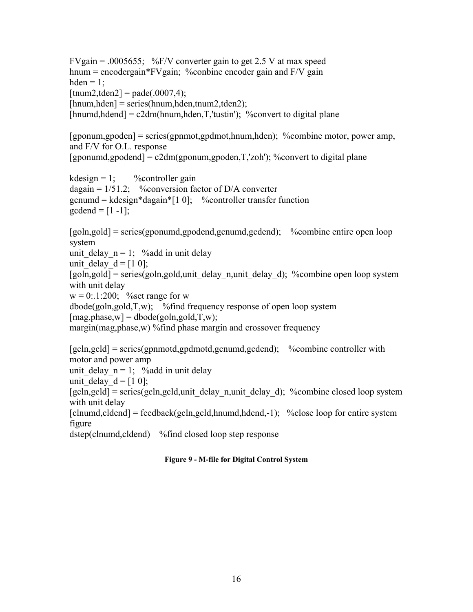FVgain =  $.0005655$ ; %F/V converter gain to get 2.5 V at max speed hnum = encodergain\*FVgain; % conbine encoder gain and F/V gain hden  $= 1$ ;  $[{\text{tnum2}}, {\text{tden2}}] = {\text{pade}}(.0007, 4);$ [hnum,hden] = series(hnum,hden,tnum2,tden2);  $[{\text{hnumd}}, {\text{hdend}}] = c2dm({\text{hnum}}, {\text{hden}}, T, {\text{'tustin}}')$ ; %convert to digital plane [gponum,gpoden] = series(gpnmot,gpdmot,hnum,hden); %combine motor, power amp, and F/V for O.L. response  $[$ gponumd,gpodend $] = c2dm(gponum, gpoden, T, 'zoh')$ ; %convert to digital plane kdesign = 1; %controller gain dagain =  $1/51.2$ ; %conversion factor of D/A converter  $gcnum = kdesign*dagain*[1 0];$  %controller transfer function gcdend =  $[1 -1]$ ; [goln,gold] = series(gponumd,gpodend,gcnumd,gcdend); %combine entire open loop system unit delay  $n = 1$ ; %add in unit delay unit delay  $d = [1 0];$ [goln,gold] = series(goln,gold,unit\_delay\_n,unit\_delay\_d); %combine open loop system with unit delay  $w = 0$ : 1:200; % set range for w  $\phi$ dbode(goln,gold,T,w); %find frequency response of open loop system  $[mag,phase,w] = dbode(goln,gold,T,w);$ margin(mag,phase,w) %find phase margin and crossover frequency [gcln,gcld] = series(gpnmotd,gpdmotd,gcnumd,gcdend); %combine controller with motor and power amp unit delay  $n = 1$ ; %add in unit delay unit delay  $d = [1 0];$  $[gcln, gcld]$  = series(gcln, gcld, unit\_delay\_n,unit\_delay\_d); %combine closed loop system with unit delay  $[clnumd, cldend]$  = feedback(gcln,gcld,hnumd,hdend,-1); %close loop for entire system figure dstep(clnumd,cldend) %find closed loop step response

## **Figure 9 - M-file for Digital Control System**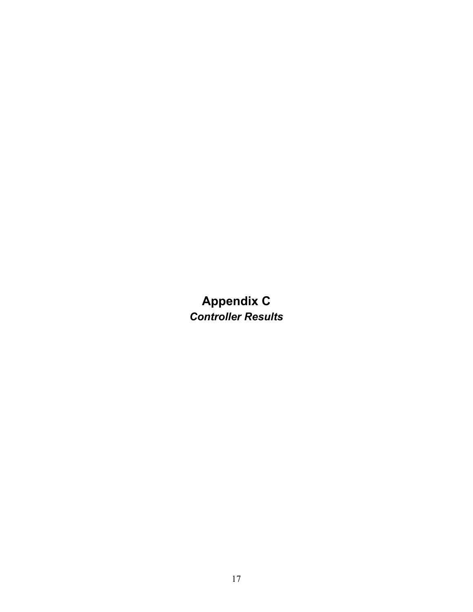**Appendix C**  *Controller Results*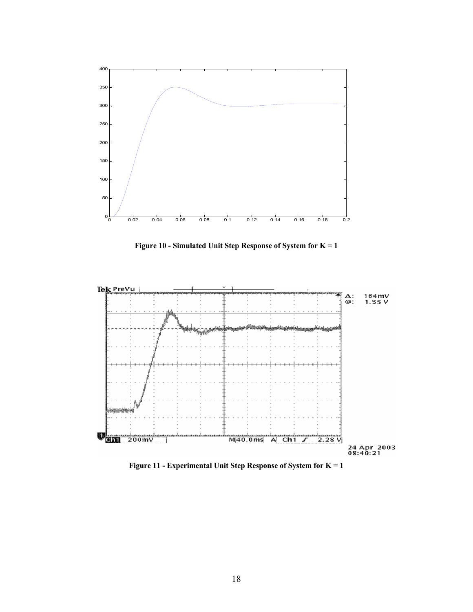

**Figure 10 - Simulated Unit Step Response of System for K = 1** 



**Figure 11 - Experimental Unit Step Response of System for K = 1**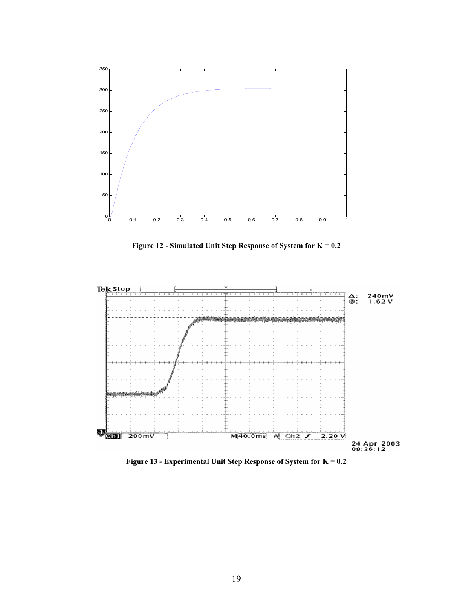

**Figure 12 - Simulated Unit Step Response of System for K = 0.2** 



**Figure 13 - Experimental Unit Step Response of System for K = 0.2**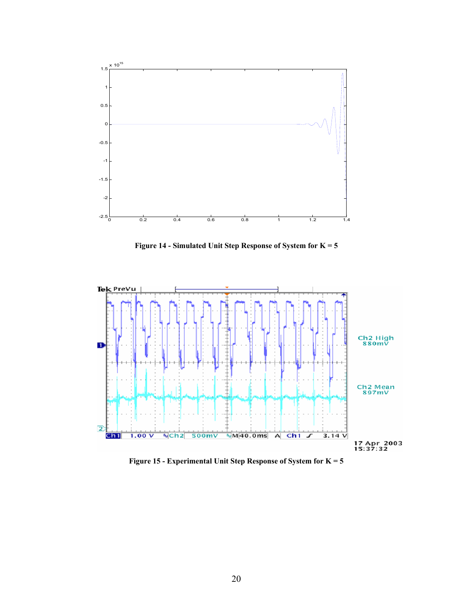

**Figure 14 - Simulated Unit Step Response of System for K = 5**